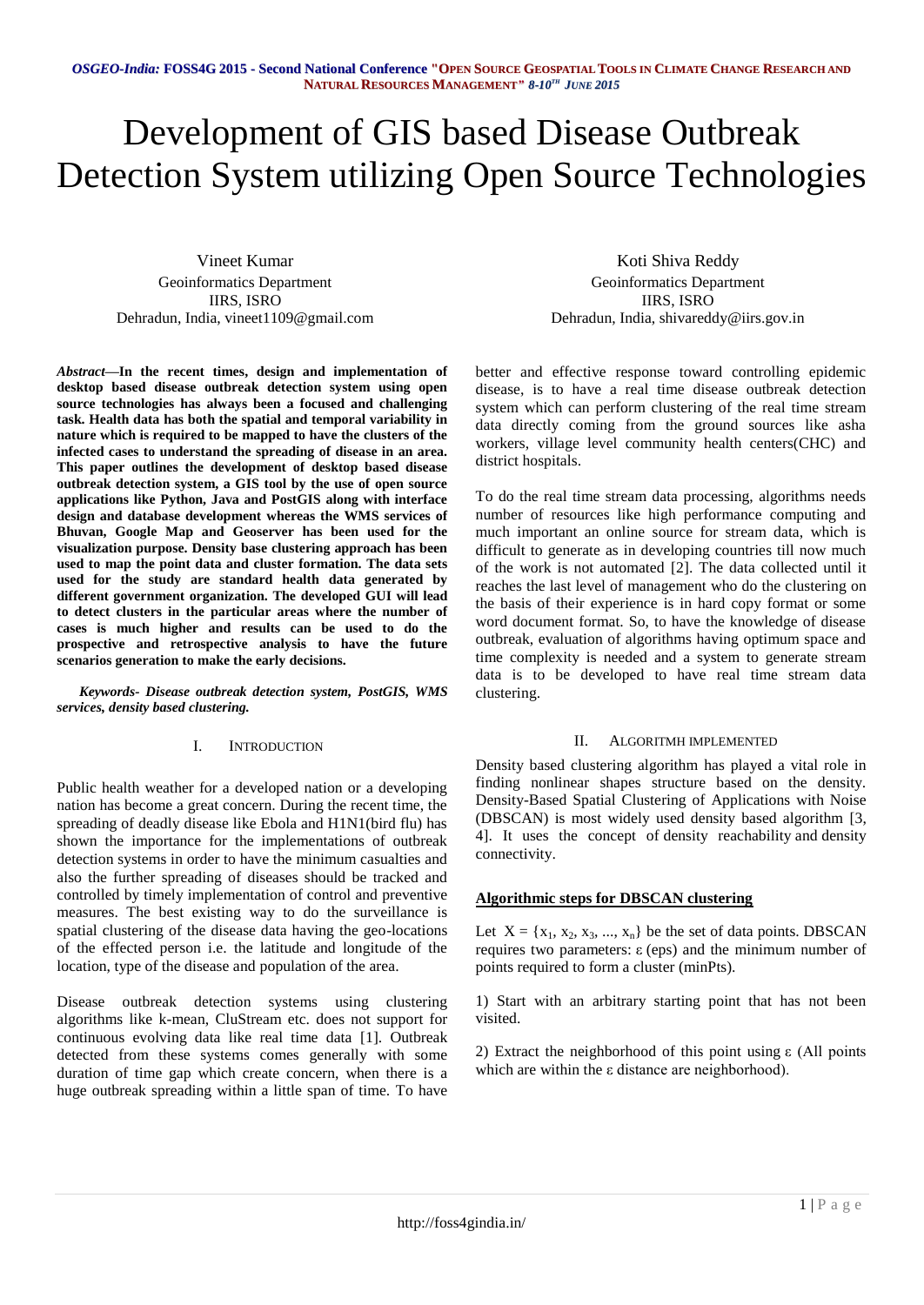# Development of GIS based Disease Outbreak Detection System utilizing Open Source Technologies

Vineet Kumar Geoinformatics Department IIRS, ISRO Dehradun, India, vineet1109@gmail.com

*Abstract***—In the recent times, design and implementation of desktop based disease outbreak detection system using open source technologies has always been a focused and challenging task. Health data has both the spatial and temporal variability in nature which is required to be mapped to have the clusters of the infected cases to understand the spreading of disease in an area. This paper outlines the development of desktop based disease outbreak detection system, a GIS tool by the use of open source applications like Python, Java and PostGIS along with interface design and database development whereas the WMS services of Bhuvan, Google Map and Geoserver has been used for the visualization purpose. Density base clustering approach has been used to map the point data and cluster formation. The data sets used for the study are standard health data generated by different government organization. The developed GUI will lead to detect clusters in the particular areas where the number of cases is much higher and results can be used to do the prospective and retrospective analysis to have the future scenarios generation to make the early decisions.**

*Keywords- Disease outbreak detection system, PostGIS, WMS services, density based clustering.*

# I. INTRODUCTION

Public health weather for a developed nation or a developing nation has become a great concern. During the recent time, the spreading of deadly disease like Ebola and H1N1(bird flu) has shown the importance for the implementations of outbreak detection systems in order to have the minimum casualties and also the further spreading of diseases should be tracked and controlled by timely implementation of control and preventive measures. The best existing way to do the surveillance is spatial clustering of the disease data having the geo-locations of the effected person i.e. the latitude and longitude of the location, type of the disease and population of the area.

Disease outbreak detection systems using clustering algorithms like k-mean, CluStream etc. does not support for continuous evolving data like real time data [1]. Outbreak detected from these systems comes generally with some duration of time gap which create concern, when there is a huge outbreak spreading within a little span of time. To have

Koti Shiva Reddy Geoinformatics Department IIRS, ISRO Dehradun, India, shivareddy@iirs.gov.in

better and effective response toward controlling epidemic disease, is to have a real time disease outbreak detection system which can perform clustering of the real time stream data directly coming from the ground sources like asha workers, village level community health centers(CHC) and district hospitals.

To do the real time stream data processing, algorithms needs number of resources like high performance computing and much important an online source for stream data, which is difficult to generate as in developing countries till now much of the work is not automated [2]. The data collected until it reaches the last level of management who do the clustering on the basis of their experience is in hard copy format or some word document format. So, to have the knowledge of disease outbreak, evaluation of algorithms having optimum space and time complexity is needed and a system to generate stream data is to be developed to have real time stream data clustering.

### II. ALGORITMH IMPLEMENTED

Density based clustering algorithm has played a vital role in finding nonlinear shapes structure based on the density. Density-Based Spatial Clustering of Applications with Noise (DBSCAN) is most widely used density based algorithm [3, 4]. It uses the concept of density reachability and density connectivity.

# **Algorithmic steps for DBSCAN clustering**

Let  $X = \{x_1, x_2, x_3, ..., x_n\}$  be the set of data points. DBSCAN requires two parameters: ε (eps) and the minimum number of points required to form a cluster (minPts).

1) Start with an arbitrary starting point that has not been visited.

2) Extract the neighborhood of this point using ε (All points which are within the ε distance are neighborhood).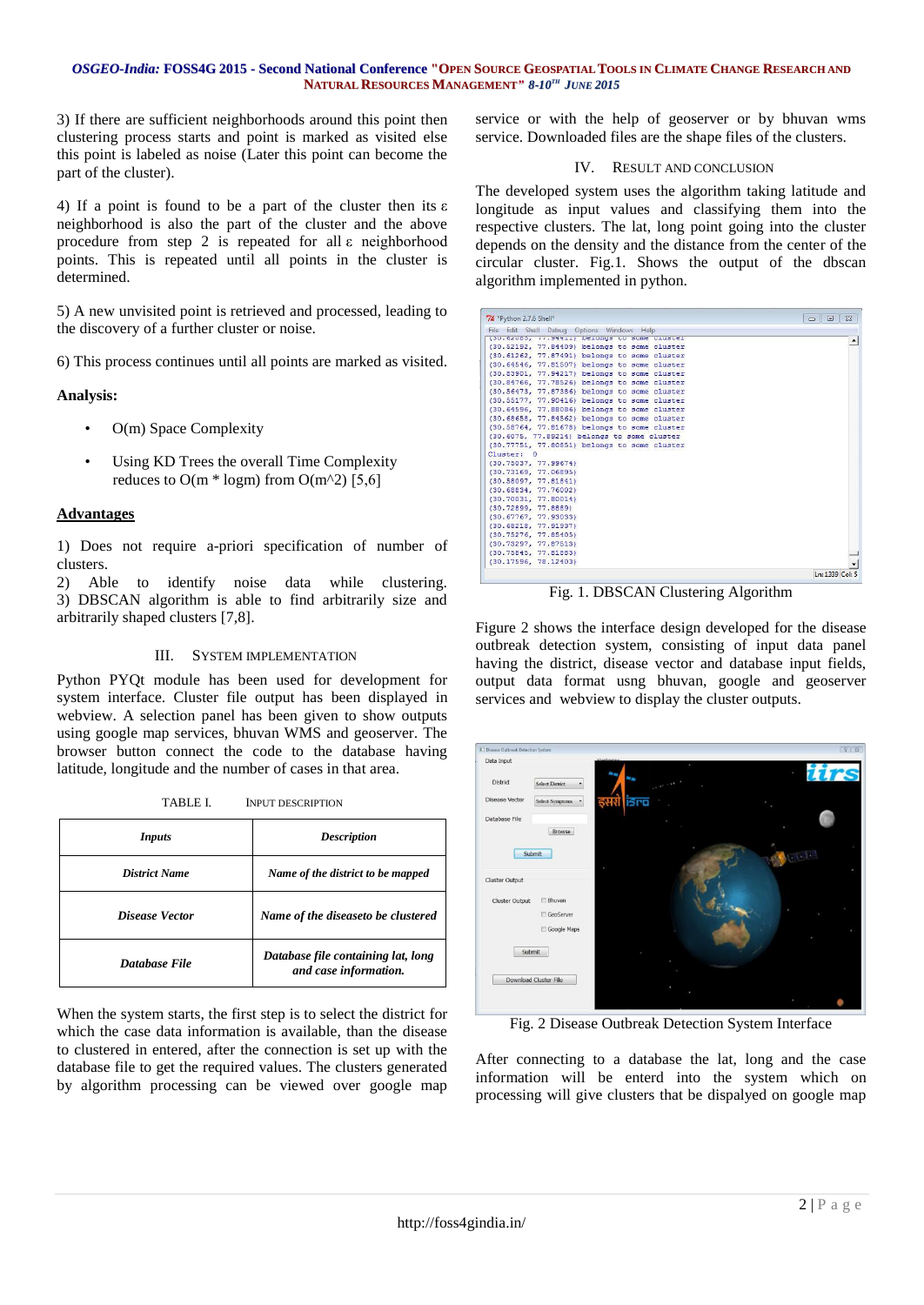### OSGEO-India: FOSS4G 2015 - Second National Conference "OPEN SOURCE GEOSPATIAL TOOLS IN CLIMATE CHANGE RESEARCH AND **NATURAL RESOURCES MANAGEMENT***" 8-10 TH JUNE 2015*

3) If there are sufficient neighborhoods around this point then clustering process starts and point is marked as visited else this point is labeled as noise (Later this point can become the part of the cluster).

4) If a point is found to be a part of the cluster then its ε neighborhood is also the part of the cluster and the above procedure from step 2 is repeated for all ε neighborhood points. This is repeated until all points in the cluster is determined.

5) A new unvisited point is retrieved and processed, leading to the discovery of a further cluster or noise.

6) This process continues until all points are marked as visited.

# **Analysis:**

- O(m) Space Complexity
- Using KD Trees the overall Time Complexity reduces to  $O(m * logm)$  from  $O(m^2)$  [5,6]

# **Advantages**

1) Does not require a-priori specification of number of clusters.

2) Able to identify noise data while clustering. 3) DBSCAN algorithm is able to find arbitrarily size and arbitrarily shaped clusters [7,8].

### III. SYSTEM IMPLEMENTATION

Python PYQt module has been used for development for system interface. Cluster file output has been displayed in webview. A selection panel has been given to show outputs using google map services, bhuvan WMS and geoserver. The browser button connect the code to the database having latitude, longitude and the number of cases in that area.

| <i>Inputs</i>        | <b>Description</b>                                          |  |  |  |  |
|----------------------|-------------------------------------------------------------|--|--|--|--|
| <b>District Name</b> | Name of the district to be mapped                           |  |  |  |  |
| Disease Vector       | Name of the diseaseto be clustered                          |  |  |  |  |
| Database File        | Database file containing lat, long<br>and case information. |  |  |  |  |

When the system starts, the first step is to select the district for which the case data information is available, than the disease to clustered in entered, after the connection is set up with the database file to get the required values. The clusters generated by algorithm processing can be viewed over google map

service or with the help of geoserver or by bhuvan wms service. Downloaded files are the shape files of the clusters.

## IV. RESULT AND CONCLUSION

The developed system uses the algorithm taking latitude and longitude as input values and classifying them into the respective clusters. The lat, long point going into the cluster depends on the density and the distance from the center of the circular cluster. Fig.1. Shows the output of the dbscan algorithm implemented in python.

| File Edit Shell Debua Options Windows Help   |  |
|----------------------------------------------|--|
| (30.02000, 77.94411) Delongs to some cluster |  |
| (30.52192, 77.84409) belongs to some cluster |  |
| (30.61262, 77.87491) belongs to some cluster |  |
| (30.64546, 77.81507) belongs to some cluster |  |
| (30.83901, 77.94217) belongs to some cluster |  |
| (30.84766, 77.78526) belongs to some cluster |  |
| (30.56473, 77.87386) belongs to some cluster |  |
| (30.55177, 77.90416) belongs to some cluster |  |
| (30.64596, 77.88086) belongs to some cluster |  |
| (30.68658, 77.84562) belongs to some cluster |  |
| (30.58764, 77.81678) belongs to some cluster |  |
| (30.6075, 77.89214) belongs to some cluster  |  |
| (30.77751, 77.80851) belongs to some cluster |  |
| Cluster: 0                                   |  |
| (30.75037, 77.99674)                         |  |
| (30.73169.77.06895)                          |  |
| (30.58097, 77.81841)                         |  |
| (30.68834, 77.76002)                         |  |
| (30.70031, 77.80014)                         |  |
| (30.72899, 77.8889)                          |  |
| (30.67767, 77.93033)                         |  |
| (30.68218, 77.91937)                         |  |
| (30.75276, 77.85405)                         |  |
| (30.73297, 77.87513)                         |  |
| (30.75845, 77.81883)                         |  |
| (30.17596, 78.12403)                         |  |

Fig. 1. DBSCAN Clustering Algorithm

Figure 2 shows the interface design developed for the disease outbreak detection system, consisting of input data panel having the district, disease vector and database input fields, output data format usng bhuvan, google and geoserver services and webview to display the cluster outputs.



Fig. 2 Disease Outbreak Detection System Interface

After connecting to a database the lat, long and the case information will be enterd into the system which on processing will give clusters that be dispalyed on google map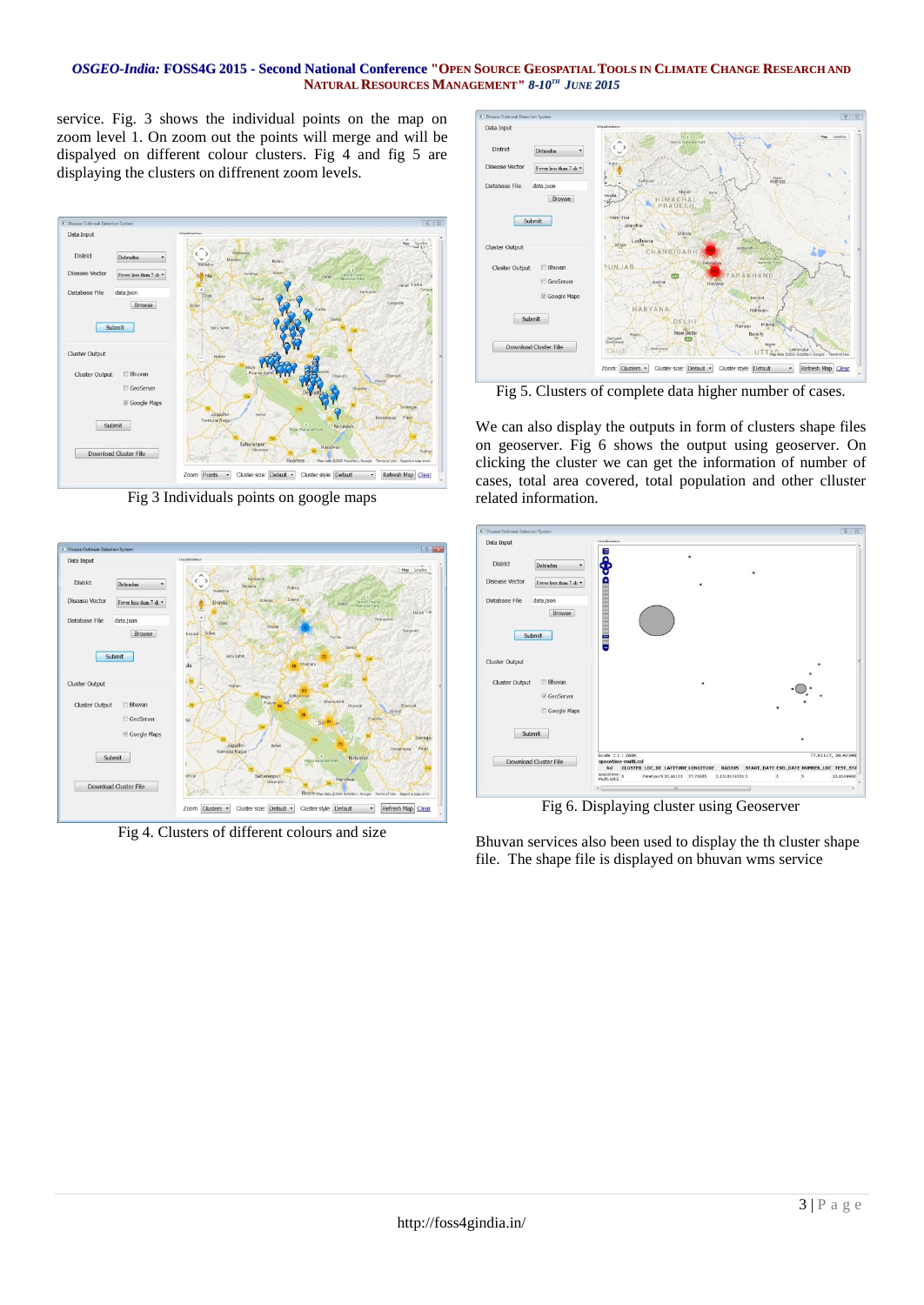### OSGEO-India: FOSS4G 2015 - Second National Conference "OPEN SOURCE GEOSPATIAL TOOLS IN CLIMATE CHANGE RESEARCH AND **NATURAL RESOURCES MANAGEMENT***" 8-10 TH JUNE 2015*

service. Fig. 3 shows the individual points on the map on zoom level 1. On zoom out the points will merge and will be dispalyed on different colour clusters. Fig 4 and fig 5 are displaying the clusters on diffrenent zoom levels.



Fig 3 Individuals points on google maps



Fig 4. Clusters of different colours and size



Fig 5. Clusters of complete data higher number of cases.

We can also display the outputs in form of clusters shape files on geoserver. Fig 6 shows the output using geoserver. On clicking the cluster we can get the information of number of cases, total area covered, total population and other clluster related information.

| Data Input                 |                        | Mealivation                             |                                   |               |              |                |                                                |
|----------------------------|------------------------|-----------------------------------------|-----------------------------------|---------------|--------------|----------------|------------------------------------------------|
|                            |                        | 眉                                       |                                   |               |              |                |                                                |
| District<br>Dehradun       | ٠                      |                                         |                                   |               |              |                |                                                |
| <b>Disease Vector</b>      | Fever less than 7 di * | ۰                                       |                                   |               |              |                |                                                |
| Database File<br>data.json | Browse                 |                                         |                                   |               |              |                |                                                |
| Submit                     |                        | Ξ                                       |                                   |               |              |                |                                                |
| Cluster Output             |                        |                                         |                                   |               |              |                |                                                |
| <b>Cluster Output</b>      | Bhuvan                 |                                         |                                   |               |              |                |                                                |
|                            | V GeoServer            |                                         |                                   |               |              | $\overline{a}$ |                                                |
|                            | Google Maps            |                                         |                                   |               |              |                |                                                |
| Submit                     |                        |                                         |                                   |               |              |                |                                                |
| Download Cluster File      |                        | Scale = $1:260K$<br>spacetime-multi.col |                                   |               |              |                | 77.91117, 30.40340                             |
|                            |                        | fid                                     | CLUSTER LOC_ID LATITUDE LONGITUDE |               |              |                | RADIUS START_DATE END_DATE NUMBER_LOC TEST_ST/ |
|                            |                        | spacetime-<br>multi.col.5               | Fatehpur5 30.46133 77.75685       | 3.13181745313 | $\mathbf{3}$ | s              | 12.6249960                                     |
|                            |                        | ¥E.                                     | m                                 |               |              |                |                                                |

Fig 6. Displaying cluster using Geoserver

Bhuvan services also been used to display the th cluster shape file. The shape file is displayed on bhuvan wms service